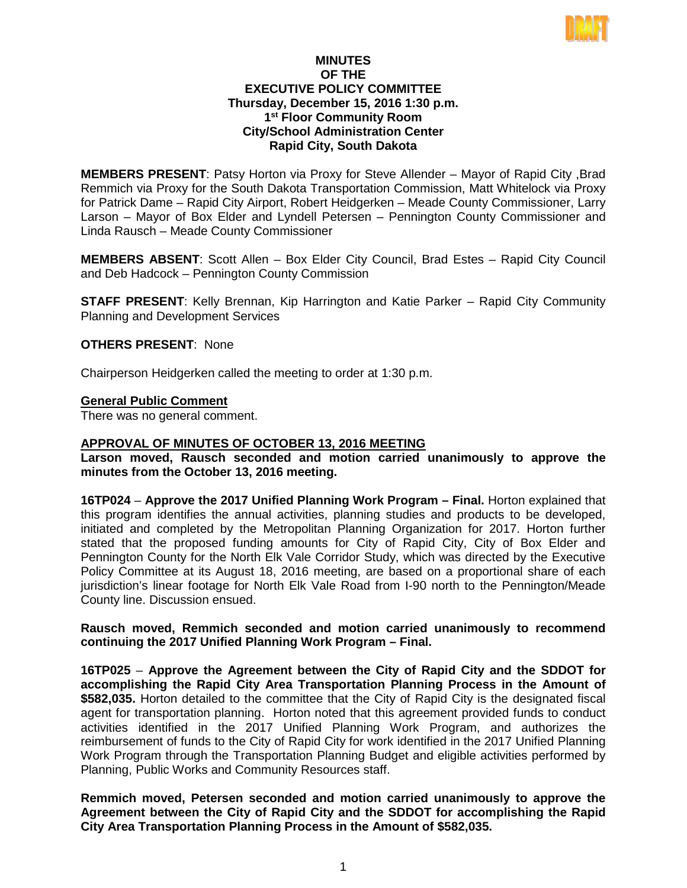

# **MINUTES OF THE EXECUTIVE POLICY COMMITTEE Thursday, December 15, 2016 1:30 p.m. 1st Floor Community Room City/School Administration Center Rapid City, South Dakota**

**MEMBERS PRESENT**: Patsy Horton via Proxy for Steve Allender – Mayor of Rapid City ,Brad Remmich via Proxy for the South Dakota Transportation Commission, Matt Whitelock via Proxy for Patrick Dame – Rapid City Airport, Robert Heidgerken – Meade County Commissioner, Larry Larson – Mayor of Box Elder and Lyndell Petersen – Pennington County Commissioner and Linda Rausch – Meade County Commissioner

**MEMBERS ABSENT**: Scott Allen – Box Elder City Council, Brad Estes – Rapid City Council and Deb Hadcock – Pennington County Commission

**STAFF PRESENT**: Kelly Brennan, Kip Harrington and Katie Parker – Rapid City Community Planning and Development Services

## **OTHERS PRESENT**: None

Chairperson Heidgerken called the meeting to order at 1:30 p.m.

### **General Public Comment**

There was no general comment.

## **APPROVAL OF MINUTES OF OCTOBER 13, 2016 MEETING**

**Larson moved, Rausch seconded and motion carried unanimously to approve the minutes from the October 13, 2016 meeting.**

**16TP024** – **Approve the 2017 Unified Planning Work Program – Final.** Horton explained that this program identifies the annual activities, planning studies and products to be developed, initiated and completed by the Metropolitan Planning Organization for 2017. Horton further stated that the proposed funding amounts for City of Rapid City, City of Box Elder and Pennington County for the North Elk Vale Corridor Study, which was directed by the Executive Policy Committee at its August 18, 2016 meeting, are based on a proportional share of each jurisdiction's linear footage for North Elk Vale Road from I-90 north to the Pennington/Meade County line. Discussion ensued.

## **Rausch moved, Remmich seconded and motion carried unanimously to recommend continuing the 2017 Unified Planning Work Program – Final.**

**16TP025** – **Approve the Agreement between the City of Rapid City and the SDDOT for accomplishing the Rapid City Area Transportation Planning Process in the Amount of \$582,035.** Horton detailed to the committee that the City of Rapid City is the designated fiscal agent for transportation planning. Horton noted that this agreement provided funds to conduct activities identified in the 2017 Unified Planning Work Program, and authorizes the reimbursement of funds to the City of Rapid City for work identified in the 2017 Unified Planning Work Program through the Transportation Planning Budget and eligible activities performed by Planning, Public Works and Community Resources staff.

**Remmich moved, Petersen seconded and motion carried unanimously to approve the Agreement between the City of Rapid City and the SDDOT for accomplishing the Rapid City Area Transportation Planning Process in the Amount of \$582,035.**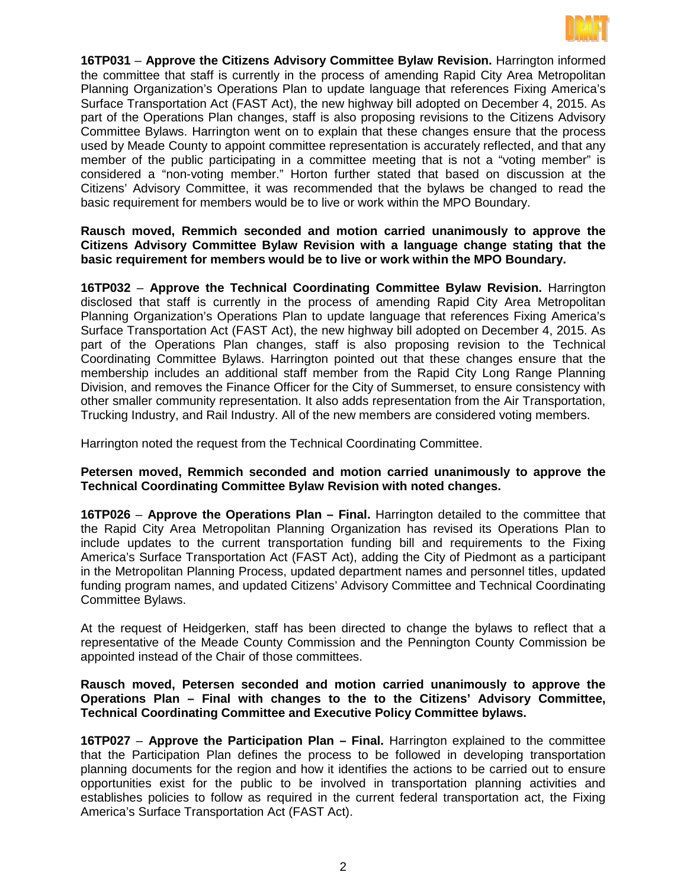

**16TP031** – **Approve the Citizens Advisory Committee Bylaw Revision.** Harrington informed the committee that staff is currently in the process of amending Rapid City Area Metropolitan Planning Organization's Operations Plan to update language that references Fixing America's Surface Transportation Act (FAST Act), the new highway bill adopted on December 4, 2015. As part of the Operations Plan changes, staff is also proposing revisions to the Citizens Advisory Committee Bylaws. Harrington went on to explain that these changes ensure that the process used by Meade County to appoint committee representation is accurately reflected, and that any member of the public participating in a committee meeting that is not a "voting member" is considered a "non-voting member." Horton further stated that based on discussion at the Citizens' Advisory Committee, it was recommended that the bylaws be changed to read the basic requirement for members would be to live or work within the MPO Boundary.

# **Rausch moved, Remmich seconded and motion carried unanimously to approve the Citizens Advisory Committee Bylaw Revision with a language change stating that the basic requirement for members would be to live or work within the MPO Boundary.**

**16TP032** – **Approve the Technical Coordinating Committee Bylaw Revision.** Harrington disclosed that staff is currently in the process of amending Rapid City Area Metropolitan Planning Organization's Operations Plan to update language that references Fixing America's Surface Transportation Act (FAST Act), the new highway bill adopted on December 4, 2015. As part of the Operations Plan changes, staff is also proposing revision to the Technical Coordinating Committee Bylaws. Harrington pointed out that these changes ensure that the membership includes an additional staff member from the Rapid City Long Range Planning Division, and removes the Finance Officer for the City of Summerset, to ensure consistency with other smaller community representation. It also adds representation from the Air Transportation, Trucking Industry, and Rail Industry. All of the new members are considered voting members.

Harrington noted the request from the Technical Coordinating Committee.

# **Petersen moved, Remmich seconded and motion carried unanimously to approve the Technical Coordinating Committee Bylaw Revision with noted changes.**

**16TP026** – **Approve the Operations Plan – Final.** Harrington detailed to the committee that the Rapid City Area Metropolitan Planning Organization has revised its Operations Plan to include updates to the current transportation funding bill and requirements to the Fixing America's Surface Transportation Act (FAST Act), adding the City of Piedmont as a participant in the Metropolitan Planning Process, updated department names and personnel titles, updated funding program names, and updated Citizens' Advisory Committee and Technical Coordinating Committee Bylaws.

At the request of Heidgerken, staff has been directed to change the bylaws to reflect that a representative of the Meade County Commission and the Pennington County Commission be appointed instead of the Chair of those committees.

# **Rausch moved, Petersen seconded and motion carried unanimously to approve the Operations Plan – Final with changes to the to the Citizens' Advisory Committee, Technical Coordinating Committee and Executive Policy Committee bylaws.**

**16TP027** – **Approve the Participation Plan – Final.** Harrington explained to the committee that the Participation Plan defines the process to be followed in developing transportation planning documents for the region and how it identifies the actions to be carried out to ensure opportunities exist for the public to be involved in transportation planning activities and establishes policies to follow as required in the current federal transportation act, the Fixing America's Surface Transportation Act (FAST Act).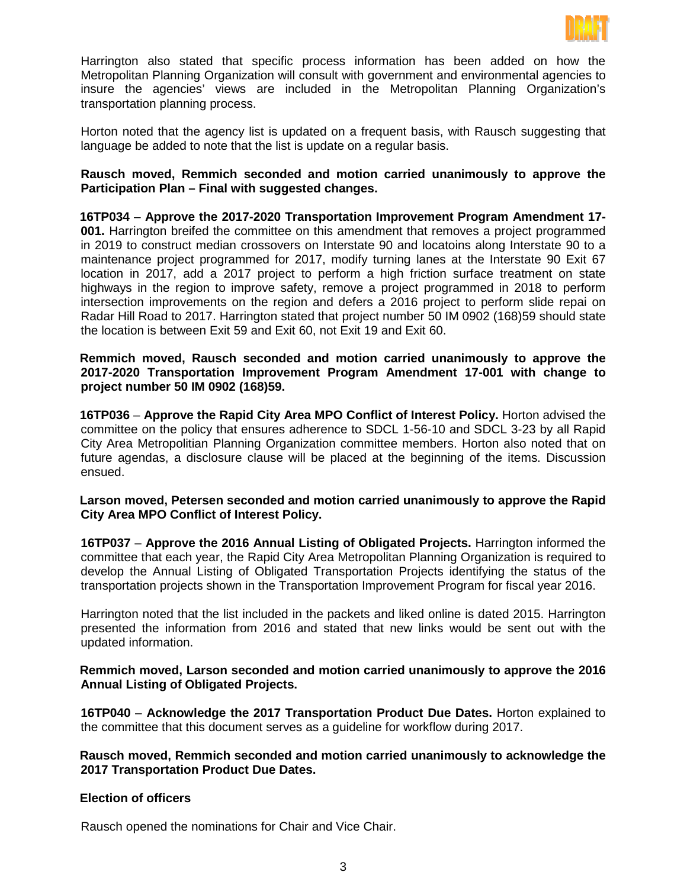

Harrington also stated that specific process information has been added on how the Metropolitan Planning Organization will consult with government and environmental agencies to insure the agencies' views are included in the Metropolitan Planning Organization's transportation planning process.

Horton noted that the agency list is updated on a frequent basis, with Rausch suggesting that language be added to note that the list is update on a regular basis.

**Rausch moved, Remmich seconded and motion carried unanimously to approve the Participation Plan – Final with suggested changes.** 

**16TP034** – **Approve the 2017-2020 Transportation Improvement Program Amendment 17- 001.** Harrington breifed the committee on this amendment that removes a project programmed in 2019 to construct median crossovers on Interstate 90 and locatoins along Interstate 90 to a maintenance project programmed for 2017, modify turning lanes at the Interstate 90 Exit 67 location in 2017, add a 2017 project to perform a high friction surface treatment on state highways in the region to improve safety, remove a project programmed in 2018 to perform intersection improvements on the region and defers a 2016 project to perform slide repai on Radar Hill Road to 2017. Harrington stated that project number 50 IM 0902 (168)59 should state the location is between Exit 59 and Exit 60, not Exit 19 and Exit 60.

**Remmich moved, Rausch seconded and motion carried unanimously to approve the 2017-2020 Transportation Improvement Program Amendment 17-001 with change to project number 50 IM 0902 (168)59.**

**16TP036** – **Approve the Rapid City Area MPO Conflict of Interest Policy.** Horton advised the committee on the policy that ensures adherence to SDCL 1-56-10 and SDCL 3-23 by all Rapid City Area Metropolitian Planning Organization committee members. Horton also noted that on future agendas, a disclosure clause will be placed at the beginning of the items. Discussion ensued.

**Larson moved, Petersen seconded and motion carried unanimously to approve the Rapid City Area MPO Conflict of Interest Policy.**

**16TP037** – **Approve the 2016 Annual Listing of Obligated Projects.** Harrington informed the committee that each year, the Rapid City Area Metropolitan Planning Organization is required to develop the Annual Listing of Obligated Transportation Projects identifying the status of the transportation projects shown in the Transportation Improvement Program for fiscal year 2016.

Harrington noted that the list included in the packets and liked online is dated 2015. Harrington presented the information from 2016 and stated that new links would be sent out with the updated information.

**Remmich moved, Larson seconded and motion carried unanimously to approve the 2016 Annual Listing of Obligated Projects.**

**16TP040** – **Acknowledge the 2017 Transportation Product Due Dates.** Horton explained to the committee that this document serves as a guideline for workflow during 2017.

**Rausch moved, Remmich seconded and motion carried unanimously to acknowledge the 2017 Transportation Product Due Dates.**

## **Election of officers**

Rausch opened the nominations for Chair and Vice Chair.